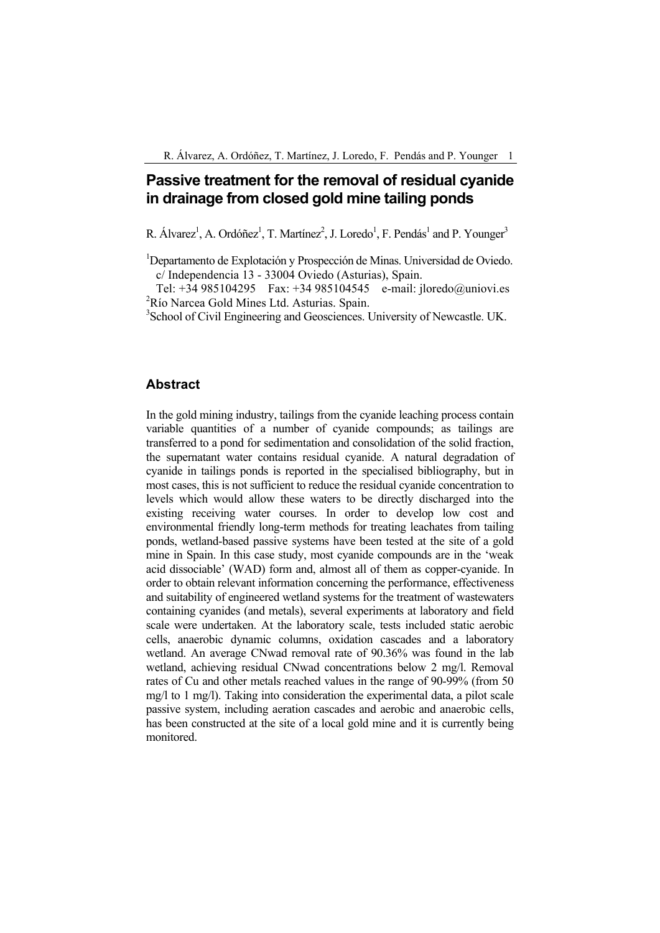# **Passive treatment for the removal of residual cyanide in drainage from closed gold mine tailing ponds**

R. Álvarez<sup>1</sup>, A. Ordóñez<sup>1</sup>, T. Martínez<sup>2</sup>, J. Loredo<sup>1</sup>, F. Pendás<sup>1</sup> and P. Younger<sup>3</sup>

<sup>1</sup>Departamento de Explotación y Prospección de Minas. Universidad de Oviedo. c/ Independencia 13 - 33004 Oviedo (Asturias), Spain.

Tel: +34 985104295 Fax: +34 985104545 e-mail: jloredo@uniovi.es <sup>2</sup>Río Narcea Gold Mines Ltd. Asturias. Spain.

<sup>3</sup> School of Civil Engineering and Geosciences. University of Newcastle. UK.

### **Abstract**

In the gold mining industry, tailings from the cyanide leaching process contain variable quantities of a number of cyanide compounds; as tailings are transferred to a pond for sedimentation and consolidation of the solid fraction, the supernatant water contains residual cyanide. A natural degradation of cyanide in tailings ponds is reported in the specialised bibliography, but in most cases, this is not sufficient to reduce the residual cyanide concentration to levels which would allow these waters to be directly discharged into the existing receiving water courses. In order to develop low cost and environmental friendly long-term methods for treating leachates from tailing ponds, wetland-based passive systems have been tested at the site of a gold mine in Spain. In this case study, most cyanide compounds are in the 'weak acid dissociable' (WAD) form and, almost all of them as copper-cyanide. In order to obtain relevant information concerning the performance, effectiveness and suitability of engineered wetland systems for the treatment of wastewaters containing cyanides (and metals), several experiments at laboratory and field scale were undertaken. At the laboratory scale, tests included static aerobic cells, anaerobic dynamic columns, oxidation cascades and a laboratory wetland. An average CNwad removal rate of 90.36% was found in the lab wetland, achieving residual CNwad concentrations below 2 mg/l. Removal rates of Cu and other metals reached values in the range of 90-99% (from 50 mg/l to 1 mg/l). Taking into consideration the experimental data, a pilot scale passive system, including aeration cascades and aerobic and anaerobic cells, has been constructed at the site of a local gold mine and it is currently being monitored.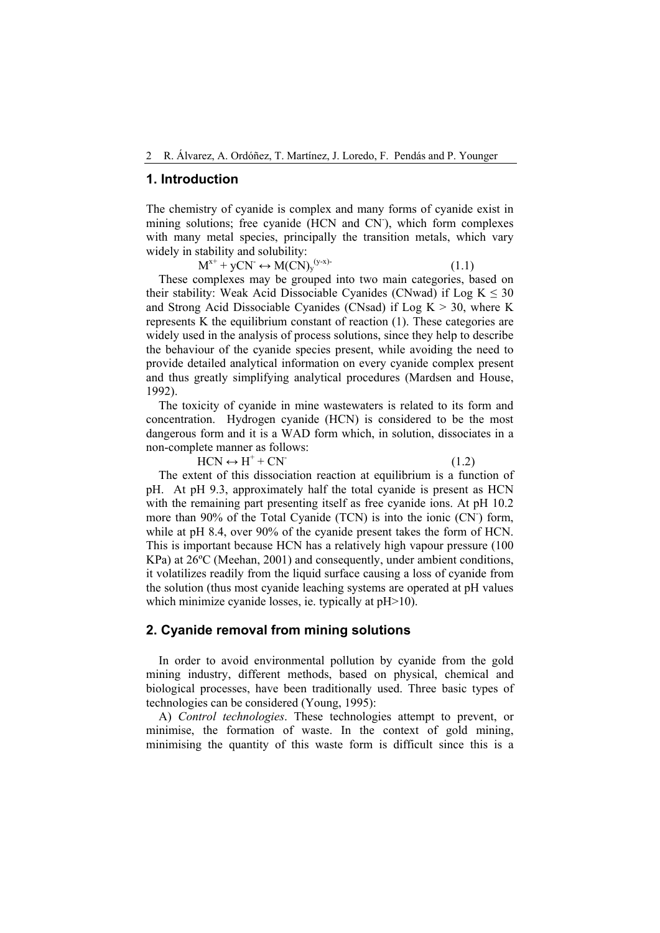#### **1. Introduction**

The chemistry of cyanide is complex and many forms of cyanide exist in mining solutions; free cyanide (HCN and CN), which form complexes with many metal species, principally the transition metals, which vary widely in stability and solubility:

 $M^{x+} + yCN \leftrightarrow M(CN)_y^{(y-x)}$  (1.1)

These complexes may be grouped into two main categories, based on their stability: Weak Acid Dissociable Cyanides (CNwad) if  $Log K \le 30$ and Strong Acid Dissociable Cyanides (CNsad) if Log  $K > 30$ , where K represents K the equilibrium constant of reaction (1). These categories are widely used in the analysis of process solutions, since they help to describe the behaviour of the cyanide species present, while avoiding the need to provide detailed analytical information on every cyanide complex present and thus greatly simplifying analytical procedures (Mardsen and House, 1992).

The toxicity of cyanide in mine wastewaters is related to its form and concentration. Hydrogen cyanide (HCN) is considered to be the most dangerous form and it is a WAD form which, in solution, dissociates in a non-complete manner as follows:

 $HCN \leftrightarrow H^+ + CN^-$ 

 $(1.2)$ 

The extent of this dissociation reaction at equilibrium is a function of pH. At pH 9.3, approximately half the total cyanide is present as HCN with the remaining part presenting itself as free cyanide ions. At pH 10.2 more than 90% of the Total Cyanide (TCN) is into the ionic (CN ) form, while at pH 8.4, over 90% of the cyanide present takes the form of HCN. This is important because HCN has a relatively high vapour pressure (100 KPa) at 26ºC (Meehan, 2001) and consequently, under ambient conditions, it volatilizes readily from the liquid surface causing a loss of cyanide from the solution (thus most cyanide leaching systems are operated at pH values which minimize cyanide losses, ie. typically at pH>10).

#### **2. Cyanide removal from mining solutions**

In order to avoid environmental pollution by cyanide from the gold mining industry, different methods, based on physical, chemical and biological processes, have been traditionally used. Three basic types of technologies can be considered (Young, 1995):

A) *Control technologies*. These technologies attempt to prevent, or minimise, the formation of waste. In the context of gold mining, minimising the quantity of this waste form is difficult since this is a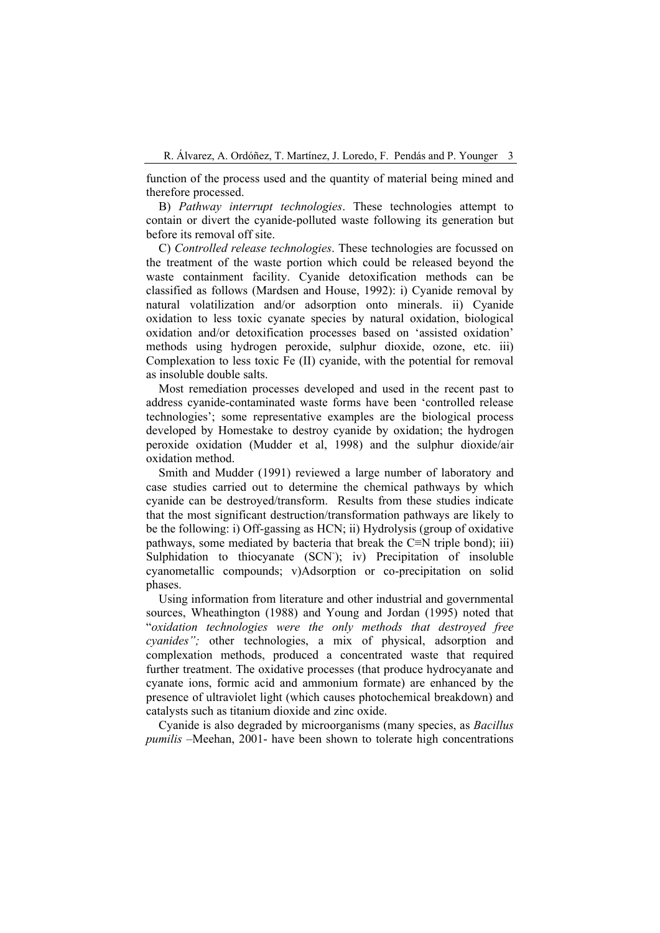function of the process used and the quantity of material being mined and therefore processed.

B) *Pathway interrupt technologies*. These technologies attempt to contain or divert the cyanide-polluted waste following its generation but before its removal off site.

C) *Controlled release technologies*. These technologies are focussed on the treatment of the waste portion which could be released beyond the waste containment facility. Cyanide detoxification methods can be classified as follows (Mardsen and House, 1992): i) Cyanide removal by natural volatilization and/or adsorption onto minerals. ii) Cyanide oxidation to less toxic cyanate species by natural oxidation, biological oxidation and/or detoxification processes based on 'assisted oxidation' methods using hydrogen peroxide, sulphur dioxide, ozone, etc. iii) Complexation to less toxic Fe (II) cyanide, with the potential for removal as insoluble double salts.

Most remediation processes developed and used in the recent past to address cyanide-contaminated waste forms have been 'controlled release technologies'; some representative examples are the biological process developed by Homestake to destroy cyanide by oxidation; the hydrogen peroxide oxidation (Mudder et al, 1998) and the sulphur dioxide/air oxidation method.

Smith and Mudder (1991) reviewed a large number of laboratory and case studies carried out to determine the chemical pathways by which cyanide can be destroyed/transform. Results from these studies indicate that the most significant destruction/transformation pathways are likely to be the following: i) Off-gassing as HCN; ii) Hydrolysis (group of oxidative pathways, some mediated by bacteria that break the C≡N triple bond); iii) Sulphidation to thiocyanate (SCN); iv) Precipitation of insoluble cyanometallic compounds; v)Adsorption or co-precipitation on solid phases.

Using information from literature and other industrial and governmental sources, Wheathington (1988) and Young and Jordan (1995) noted that "*oxidation technologies were the only methods that destroyed free cyanides";* other technologies, a mix of physical, adsorption and complexation methods, produced a concentrated waste that required further treatment. The oxidative processes (that produce hydrocyanate and cyanate ions, formic acid and ammonium formate) are enhanced by the presence of ultraviolet light (which causes photochemical breakdown) and catalysts such as titanium dioxide and zinc oxide.

Cyanide is also degraded by microorganisms (many species, as *Bacillus pumilis* –Meehan, 2001- have been shown to tolerate high concentrations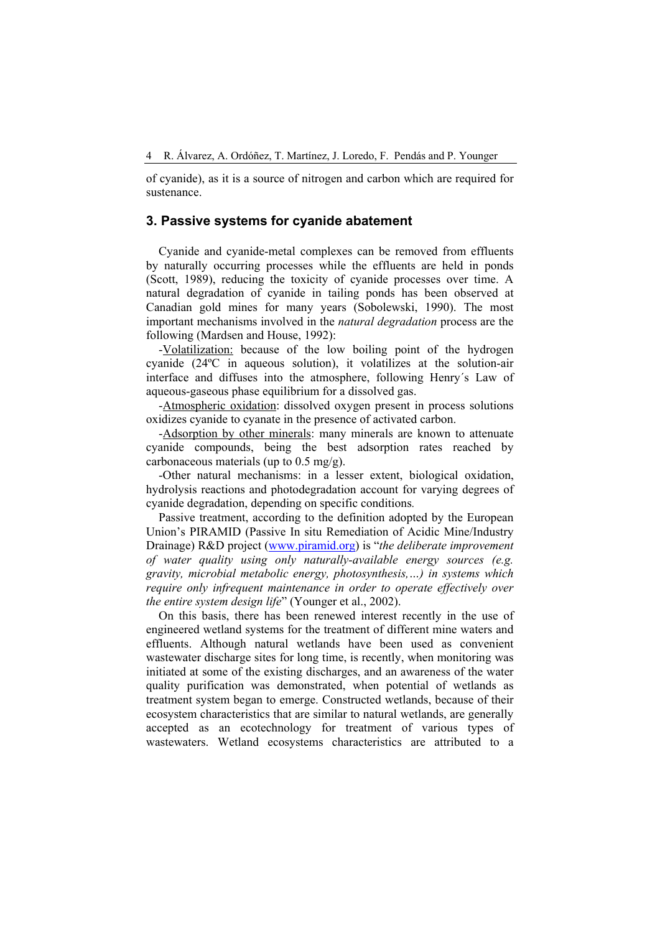of cyanide), as it is a source of nitrogen and carbon which are required for sustenance.

### **3. Passive systems for cyanide abatement**

Cyanide and cyanide-metal complexes can be removed from effluents by naturally occurring processes while the effluents are held in ponds (Scott, 1989), reducing the toxicity of cyanide processes over time. A natural degradation of cyanide in tailing ponds has been observed at Canadian gold mines for many years (Sobolewski, 1990). The most important mechanisms involved in the *natural degradation* process are the following (Mardsen and House, 1992):

-Volatilization: because of the low boiling point of the hydrogen cyanide (24ºC in aqueous solution), it volatilizes at the solution-air interface and diffuses into the atmosphere, following Henry´s Law of aqueous-gaseous phase equilibrium for a dissolved gas.

-Atmospheric oxidation: dissolved oxygen present in process solutions oxidizes cyanide to cyanate in the presence of activated carbon.

-Adsorption by other minerals: many minerals are known to attenuate cyanide compounds, being the best adsorption rates reached by carbonaceous materials (up to  $0.5 \text{ mg/g}$ ).

-Other natural mechanisms: in a lesser extent, biological oxidation, hydrolysis reactions and photodegradation account for varying degrees of cyanide degradation, depending on specific conditions.

Passive treatment, according to the definition adopted by the European Union's PIRAMID (Passive In situ Remediation of Acidic Mine/Industry Drainage) R&D project [\(www.piramid.org\)](http://www.piramid.org/) is "*the deliberate improvement of water quality using only naturally-available energy sources (e.g. gravity, microbial metabolic energy, photosynthesis,…) in systems which require only infrequent maintenance in order to operate effectively over the entire system design life*" (Younger et al., 2002).

On this basis, there has been renewed interest recently in the use of engineered wetland systems for the treatment of different mine waters and effluents. Although natural wetlands have been used as convenient wastewater discharge sites for long time, is recently, when monitoring was initiated at some of the existing discharges, and an awareness of the water quality purification was demonstrated, when potential of wetlands as treatment system began to emerge. Constructed wetlands, because of their ecosystem characteristics that are similar to natural wetlands, are generally accepted as an ecotechnology for treatment of various types of wastewaters. Wetland ecosystems characteristics are attributed to a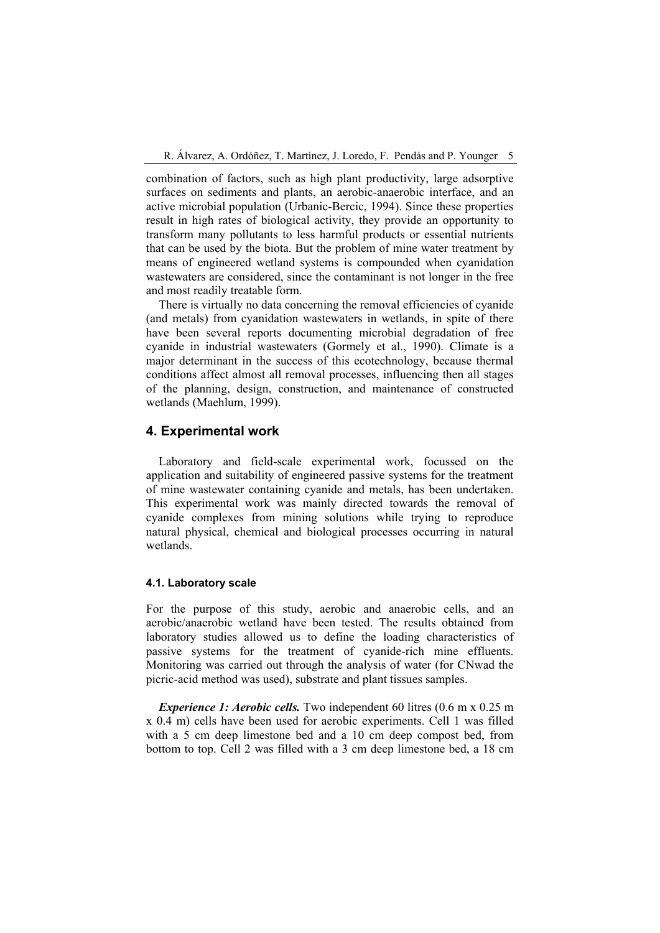combination of factors, such as high plant productivity, large adsorptive surfaces on sediments and plants, an aerobic-anaerobic interface, and an active microbial population (Urbanic-Bercic, 1994). Since these properties result in high rates of biological activity, they provide an opportunity to transform many pollutants to less harmful products or essential nutrients that can be used by the biota. But the problem of mine water treatment by means of engineered wetland systems is compounded when cyanidation wastewaters are considered, since the contaminant is not longer in the free and most readily treatable form.

There is virtually no data concerning the removal efficiencies of cyanide (and metals) from cyanidation wastewaters in wetlands, in spite of there have been several reports documenting microbial degradation of free cyanide in industrial wastewaters (Gormely et al., 1990). Climate is a major determinant in the success of this ecotechnology, because thermal conditions affect almost all removal processes, influencing then all stages of the planning, design, construction, and maintenance of constructed wetlands (Maehlum, 1999).

#### **4. Experimental work**

Laboratory and field-scale experimental work, focussed on the application and suitability of engineered passive systems for the treatment of mine wastewater containing cyanide and metals, has been undertaken. This experimental work was mainly directed towards the removal of cyanide complexes from mining solutions while trying to reproduce natural physical, chemical and biological processes occurring in natural wetlands.

#### **4.1. Laboratory scale**

For the purpose of this study, aerobic and anaerobic cells, and an aerobic/anaerobic wetland have been tested. The results obtained from laboratory studies allowed us to define the loading characteristics of passive systems for the treatment of cyanide-rich mine effluents. Monitoring was carried out through the analysis of water (for CNwad the picric-acid method was used), substrate and plant tissues samples.

*Experience 1: Aerobic cells.* Two independent 60 litres (0.6 m x 0.25 m) x 0.4 m) cells have been used for aerobic experiments. Cell 1 was filled with a 5 cm deep limestone bed and a 10 cm deep compost bed, from bottom to top. Cell 2 was filled with a 3 cm deep limestone bed, a 18 cm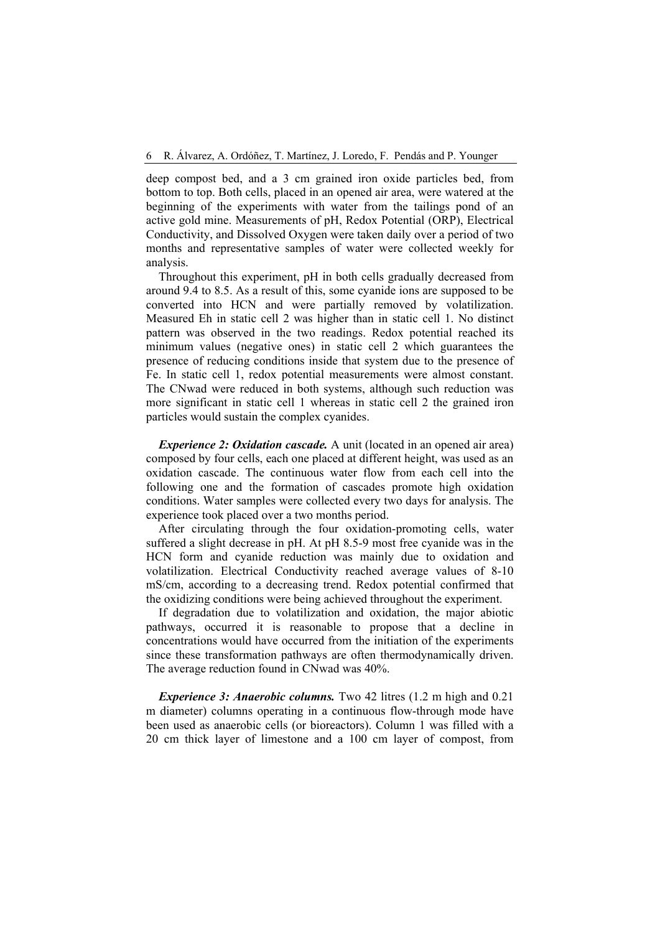deep compost bed, and a 3 cm grained iron oxide particles bed, from bottom to top. Both cells, placed in an opened air area, were watered at the beginning of the experiments with water from the tailings pond of an active gold mine. Measurements of pH, Redox Potential (ORP), Electrical Conductivity, and Dissolved Oxygen were taken daily over a period of two months and representative samples of water were collected weekly for analysis.

Throughout this experiment, pH in both cells gradually decreased from around 9.4 to 8.5. As a result of this, some cyanide ions are supposed to be converted into HCN and were partially removed by volatilization. Measured Eh in static cell 2 was higher than in static cell 1. No distinct pattern was observed in the two readings. Redox potential reached its minimum values (negative ones) in static cell 2 which guarantees the presence of reducing conditions inside that system due to the presence of Fe. In static cell 1, redox potential measurements were almost constant. The CNwad were reduced in both systems, although such reduction was more significant in static cell 1 whereas in static cell 2 the grained iron particles would sustain the complex cyanides.

*Experience 2: Oxidation cascade.* A unit (located in an opened air area) composed by four cells, each one placed at different height, was used as an oxidation cascade. The continuous water flow from each cell into the following one and the formation of cascades promote high oxidation conditions. Water samples were collected every two days for analysis. The experience took placed over a two months period.

After circulating through the four oxidation-promoting cells, water suffered a slight decrease in pH. At pH 8.5-9 most free cyanide was in the HCN form and cyanide reduction was mainly due to oxidation and volatilization. Electrical Conductivity reached average values of 8-10 mS/cm, according to a decreasing trend. Redox potential confirmed that the oxidizing conditions were being achieved throughout the experiment.

If degradation due to volatilization and oxidation, the major abiotic pathways, occurred it is reasonable to propose that a decline in concentrations would have occurred from the initiation of the experiments since these transformation pathways are often thermodynamically driven. The average reduction found in CNwad was 40%.

*Experience 3: Anaerobic columns.* Two 42 litres (1.2 m high and 0.21) m diameter) columns operating in a continuous flow-through mode have been used as anaerobic cells (or bioreactors). Column 1 was filled with a 20 cm thick layer of limestone and a 100 cm layer of compost, from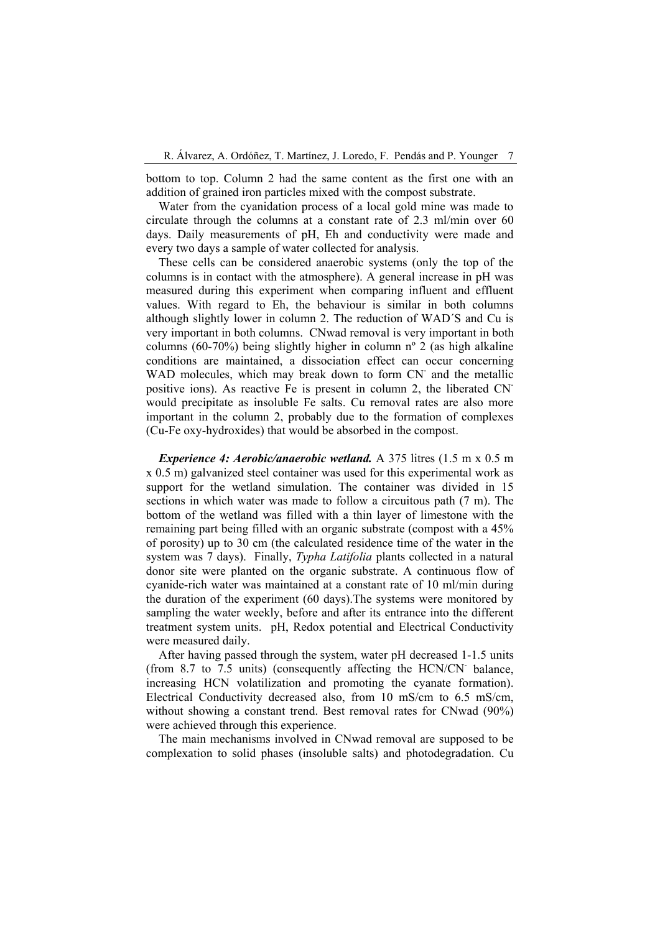bottom to top. Column 2 had the same content as the first one with an addition of grained iron particles mixed with the compost substrate.

Water from the cyanidation process of a local gold mine was made to circulate through the columns at a constant rate of 2.3 ml/min over 60 days. Daily measurements of pH, Eh and conductivity were made and every two days a sample of water collected for analysis.

These cells can be considered anaerobic systems (only the top of the columns is in contact with the atmosphere). A general increase in pH was measured during this experiment when comparing influent and effluent values. With regard to Eh, the behaviour is similar in both columns although slightly lower in column 2. The reduction of WAD´S and Cu is very important in both columns. CNwad removal is very important in both columns (60-70%) being slightly higher in column nº 2 (as high alkaline conditions are maintained, a dissociation effect can occur concerning WAD molecules, which may break down to form CN<sup>-</sup> and the metallic positive ions). As reactive Fe is present in column 2, the liberated CNwould precipitate as insoluble Fe salts. Cu removal rates are also more important in the column 2, probably due to the formation of complexes (Cu-Fe oxy-hydroxides) that would be absorbed in the compost.

*Experience 4: Aerobic/anaerobic wetland.* A 375 litres (1.5 m x 0.5 m x 0.5 m) galvanized steel container was used for this experimental work as support for the wetland simulation. The container was divided in 15 sections in which water was made to follow a circuitous path (7 m). The bottom of the wetland was filled with a thin layer of limestone with the remaining part being filled with an organic substrate (compost with a 45% of porosity) up to 30 cm (the calculated residence time of the water in the system was 7 days). Finally, *Typha Latifolia* plants collected in a natural donor site were planted on the organic substrate. A continuous flow of cyanide-rich water was maintained at a constant rate of 10 ml/min during the duration of the experiment (60 days).The systems were monitored by sampling the water weekly, before and after its entrance into the different treatment system units. pH, Redox potential and Electrical Conductivity were measured daily.

After having passed through the system, water pH decreased 1-1.5 units (from 8.7 to 7.5 units) (consequently affecting the HCN/CN- balance, increasing HCN volatilization and promoting the cyanate formation). Electrical Conductivity decreased also, from 10 mS/cm to 6.5 mS/cm, without showing a constant trend. Best removal rates for CNwad (90%) were achieved through this experience.

The main mechanisms involved in CNwad removal are supposed to be complexation to solid phases (insoluble salts) and photodegradation. Cu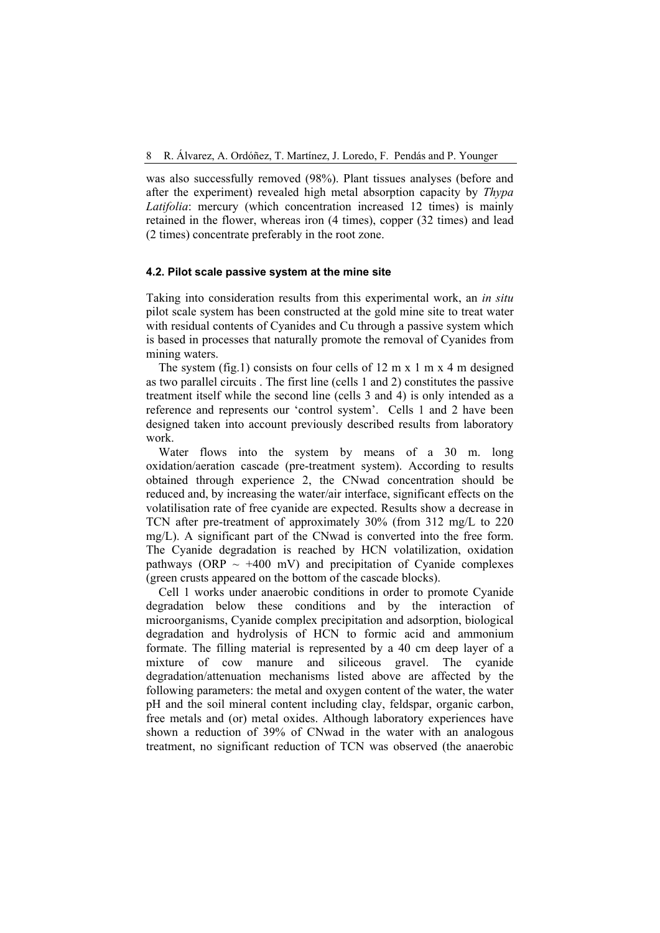was also successfully removed (98%). Plant tissues analyses (before and after the experiment) revealed high metal absorption capacity by *Thypa Latifolia*: mercury (which concentration increased 12 times) is mainly retained in the flower, whereas iron (4 times), copper (32 times) and lead (2 times) concentrate preferably in the root zone.

#### **4.2. Pilot scale passive system at the mine site**

Taking into consideration results from this experimental work, an *in situ* pilot scale system has been constructed at the gold mine site to treat water with residual contents of Cyanides and Cu through a passive system which is based in processes that naturally promote the removal of Cyanides from mining waters.

The system (fig.1) consists on four cells of 12 m x 1 m x 4 m designed as two parallel circuits . The first line (cells 1 and 2) constitutes the passive treatment itself while the second line (cells 3 and 4) is only intended as a reference and represents our 'control system'. Cells 1 and 2 have been designed taken into account previously described results from laboratory work.

Water flows into the system by means of a 30 m. long oxidation/aeration cascade (pre-treatment system). According to results obtained through experience 2, the CNwad concentration should be reduced and, by increasing the water/air interface, significant effects on the volatilisation rate of free cyanide are expected. Results show a decrease in TCN after pre-treatment of approximately 30% (from 312 mg/L to 220 mg/L). A significant part of the CNwad is converted into the free form. The Cyanide degradation is reached by HCN volatilization, oxidation pathways (ORP  $\sim$  +400 mV) and precipitation of Cyanide complexes (green crusts appeared on the bottom of the cascade blocks).

Cell 1 works under anaerobic conditions in order to promote Cyanide degradation below these conditions and by the interaction of microorganisms, Cyanide complex precipitation and adsorption, biological degradation and hydrolysis of HCN to formic acid and ammonium formate. The filling material is represented by a 40 cm deep layer of a mixture of cow manure and siliceous gravel. The cyanide degradation/attenuation mechanisms listed above are affected by the following parameters: the metal and oxygen content of the water, the water pH and the soil mineral content including clay, feldspar, organic carbon, free metals and (or) metal oxides. Although laboratory experiences have shown a reduction of 39% of CNwad in the water with an analogous treatment, no significant reduction of TCN was observed (the anaerobic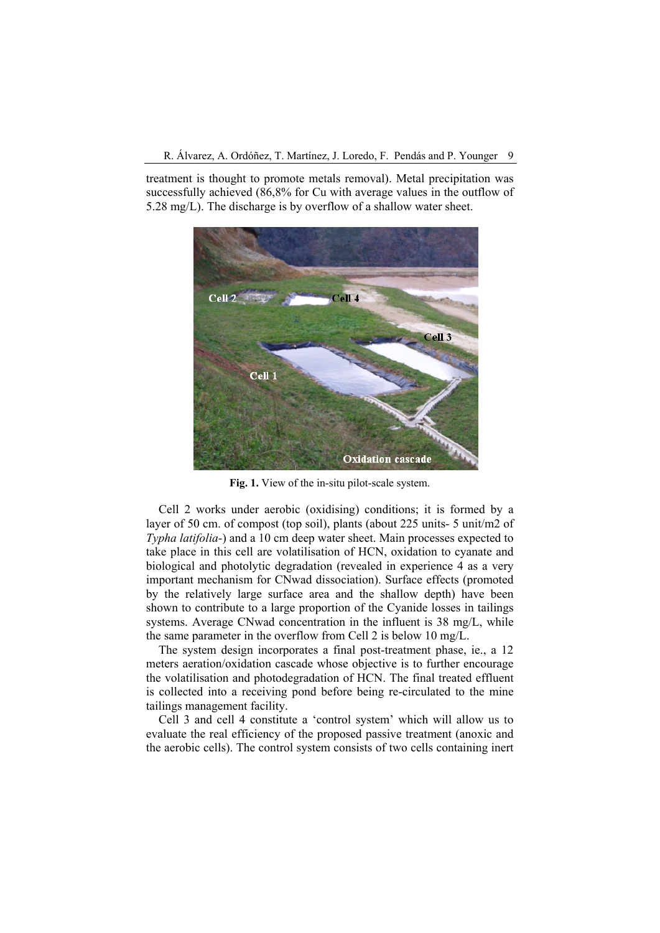treatment is thought to promote metals removal). Metal precipitation was successfully achieved (86,8% for Cu with average values in the outflow of 5.28 mg/L). The discharge is by overflow of a shallow water sheet.



**Fig. 1.** View of the in-situ pilot-scale system.

Cell 2 works under aerobic (oxidising) conditions; it is formed by a layer of 50 cm. of compost (top soil), plants (about 225 units- 5 unit/m2 of *Typha latifolia*-) and a 10 cm deep water sheet. Main processes expected to take place in this cell are volatilisation of HCN, oxidation to cyanate and biological and photolytic degradation (revealed in experience 4 as a very important mechanism for CNwad dissociation). Surface effects (promoted by the relatively large surface area and the shallow depth) have been shown to contribute to a large proportion of the Cyanide losses in tailings systems. Average CNwad concentration in the influent is 38 mg/L, while the same parameter in the overflow from Cell 2 is below 10 mg/L.

The system design incorporates a final post-treatment phase, ie., a 12 meters aeration/oxidation cascade whose objective is to further encourage the volatilisation and photodegradation of HCN. The final treated effluent is collected into a receiving pond before being re-circulated to the mine tailings management facility.

Cell 3 and cell 4 constitute a 'control system' which will allow us to evaluate the real efficiency of the proposed passive treatment (anoxic and the aerobic cells). The control system consists of two cells containing inert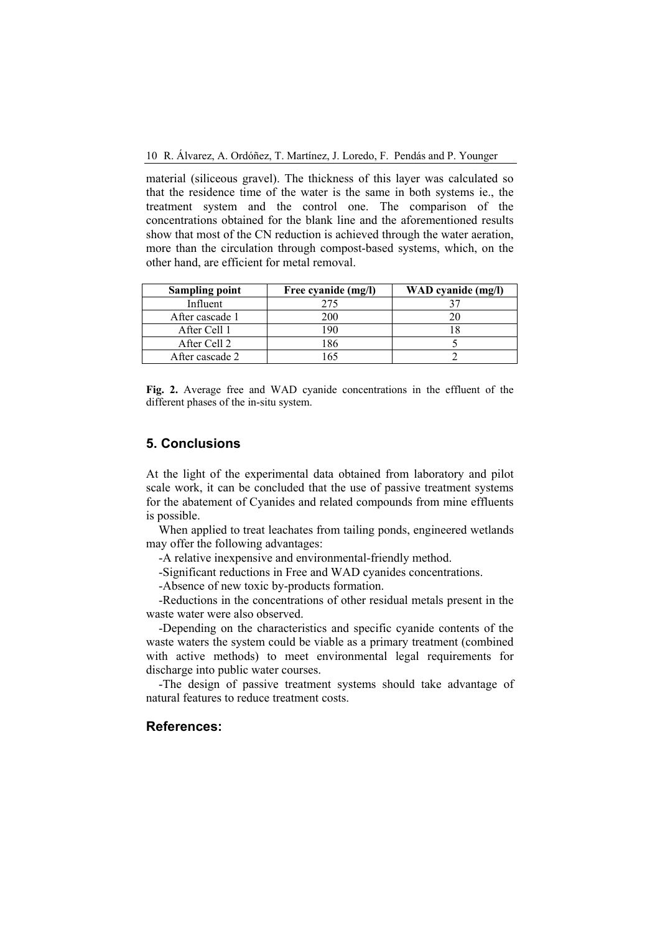material (siliceous gravel). The thickness of this layer was calculated so that the residence time of the water is the same in both systems ie., the treatment system and the control one. The comparison of the concentrations obtained for the blank line and the aforementioned results show that most of the CN reduction is achieved through the water aeration, more than the circulation through compost-based systems, which, on the other hand, are efficient for metal removal.

| <b>Sampling point</b> | Free cyanide (mg/l) | WAD cyanide (mg/l) |
|-----------------------|---------------------|--------------------|
| Influent              | 275                 |                    |
| After cascade 1       | 200                 |                    |
| After Cell 1          | 190                 |                    |
| After Cell 2          | 186                 |                    |
| After cascade 2       |                     |                    |

**Fig. 2.** Average free and WAD cyanide concentrations in the effluent of the different phases of the in-situ system.

#### **5. Conclusions**

At the light of the experimental data obtained from laboratory and pilot scale work, it can be concluded that the use of passive treatment systems for the abatement of Cyanides and related compounds from mine effluents is possible.

When applied to treat leachates from tailing ponds, engineered wetlands may offer the following advantages:

-A relative inexpensive and environmental-friendly method.

-Significant reductions in Free and WAD cyanides concentrations.

-Absence of new toxic by-products formation.

-Reductions in the concentrations of other residual metals present in the waste water were also observed.

-Depending on the characteristics and specific cyanide contents of the waste waters the system could be viable as a primary treatment (combined with active methods) to meet environmental legal requirements for discharge into public water courses.

-The design of passive treatment systems should take advantage of natural features to reduce treatment costs.

## **References:**